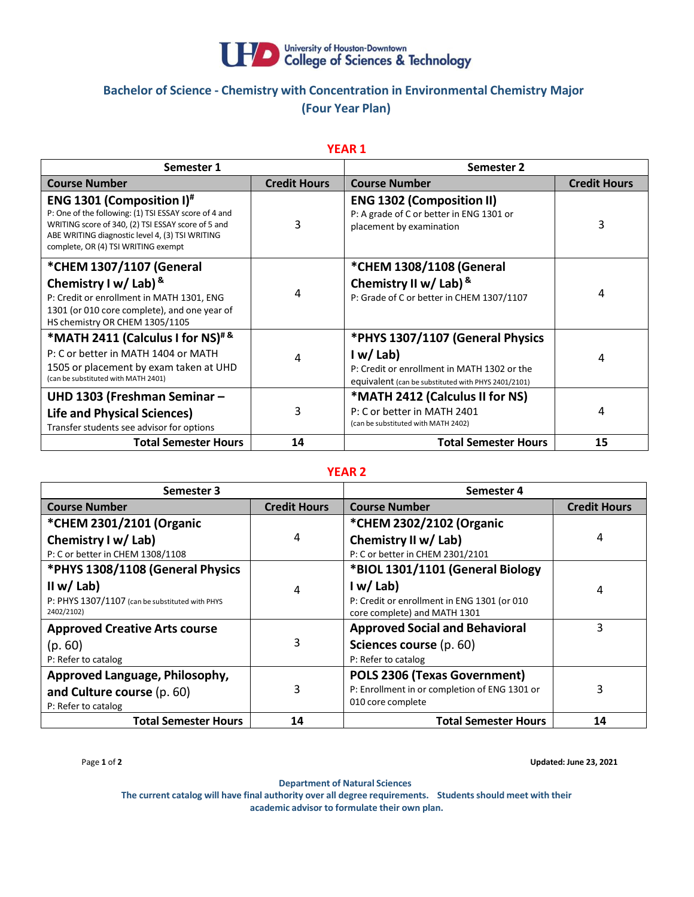

# **Bachelor of Science - Chemistry with Concentration in Environmental Chemistry Major (Four Year Plan)**

## **YEAR 1**

| Semester 1                                                                                                                                                                                                                                 |                     | Semester 2                                                                                                                                        |                     |
|--------------------------------------------------------------------------------------------------------------------------------------------------------------------------------------------------------------------------------------------|---------------------|---------------------------------------------------------------------------------------------------------------------------------------------------|---------------------|
| <b>Course Number</b>                                                                                                                                                                                                                       | <b>Credit Hours</b> | <b>Course Number</b>                                                                                                                              | <b>Credit Hours</b> |
| <b>ENG 1301 (Composition I)</b> #<br>P: One of the following: (1) TSI ESSAY score of 4 and<br>WRITING score of 340, (2) TSI ESSAY score of 5 and<br>ABE WRITING diagnostic level 4, (3) TSI WRITING<br>complete, OR (4) TSI WRITING exempt | 3                   | <b>ENG 1302 (Composition II)</b><br>P: A grade of C or better in ENG 1301 or<br>placement by examination                                          | 3                   |
| *CHEM 1307/1107 (General                                                                                                                                                                                                                   |                     | *CHEM 1308/1108 (General                                                                                                                          |                     |
| Chemistry I w/ Lab) $8$<br>P: Credit or enrollment in MATH 1301, ENG<br>1301 (or 010 core complete), and one year of<br>HS chemistry OR CHEM 1305/1105                                                                                     | 4                   | Chemistry II w/ Lab) &<br>P: Grade of C or better in CHEM 1307/1107                                                                               | 4                   |
| *MATH 2411 (Calculus I for NS) <sup>#&amp;</sup><br>P: C or better in MATH 1404 or MATH<br>1505 or placement by exam taken at UHD<br>(can be substituted with MATH 2401)                                                                   | 4                   | *PHYS 1307/1107 (General Physics<br>I w/Lab<br>P: Credit or enrollment in MATH 1302 or the<br>equivalent (can be substituted with PHYS 2401/2101) | 4                   |
| UHD 1303 (Freshman Seminar -<br><b>Life and Physical Sciences)</b><br>Transfer students see advisor for options                                                                                                                            | 3                   | *MATH 2412 (Calculus II for NS)<br>P: C or better in MATH 2401<br>(can be substituted with MATH 2402)                                             | 4                   |
| <b>Total Semester Hours</b>                                                                                                                                                                                                                | 14                  | <b>Total Semester Hours</b>                                                                                                                       | 15                  |

#### **YEAR 2**

| Semester 3                                                                          |                     | Semester 4                                                                                         |                     |
|-------------------------------------------------------------------------------------|---------------------|----------------------------------------------------------------------------------------------------|---------------------|
| <b>Course Number</b>                                                                | <b>Credit Hours</b> | <b>Course Number</b>                                                                               | <b>Credit Hours</b> |
| *CHEM 2301/2101 (Organic                                                            |                     | *CHEM 2302/2102 (Organic                                                                           |                     |
| Chemistry I w/ Lab)                                                                 | 4                   | Chemistry II w/ Lab)                                                                               | 4                   |
| P: C or better in CHEM 1308/1108                                                    |                     | P: C or better in CHEM 2301/2101                                                                   |                     |
| *PHYS 1308/1108 (General Physics                                                    |                     | *BIOL 1301/1101 (General Biology                                                                   |                     |
| II w/ Lab)<br>P: PHYS 1307/1107 (can be substituted with PHYS<br>2402/2102)         | 4                   | I w/Lab<br>P: Credit or enrollment in ENG 1301 (or 010<br>core complete) and MATH 1301             | 4                   |
| <b>Approved Creative Arts course</b><br>(p. 60)<br>P: Refer to catalog              | 3                   | <b>Approved Social and Behavioral</b><br>Sciences course (p. 60)<br>P: Refer to catalog            | 3                   |
| Approved Language, Philosophy,<br>and Culture course (p. 60)<br>P: Refer to catalog | 3                   | POLS 2306 (Texas Government)<br>P: Enrollment in or completion of ENG 1301 or<br>010 core complete | 3                   |
| <b>Total Semester Hours</b>                                                         | 14                  | <b>Total Semester Hours</b>                                                                        | 14                  |

Page **1** of **2 Updated: June 23, 2021**

**Department of Natural Sciences**

**The current catalog will have final authority over all degree requirements. Studentsshould meet with their academic advisor to formulate their own plan.**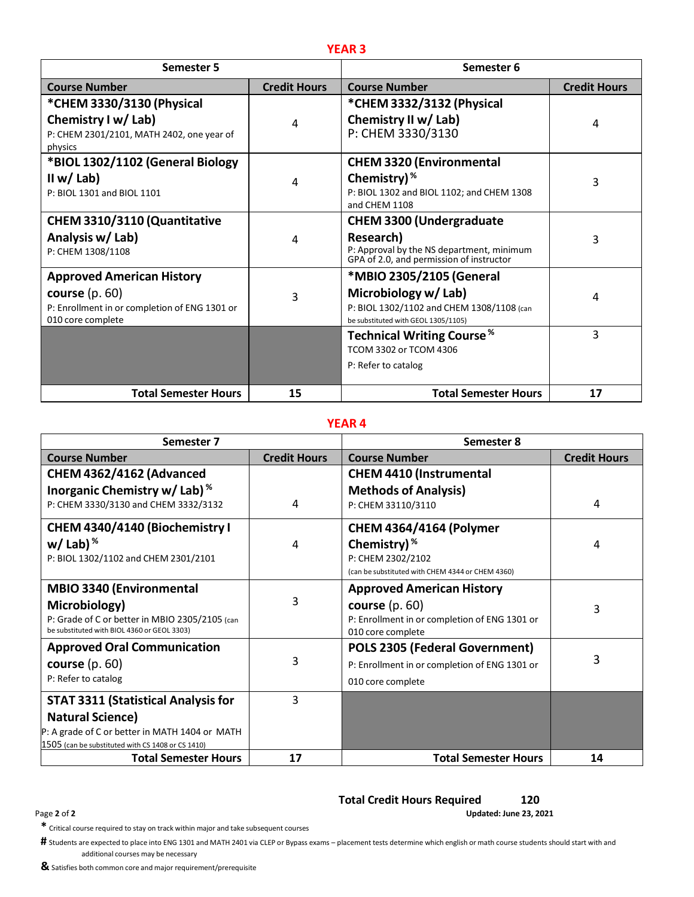| <b>Semester 5</b>                                                                      |                     | Semester 6                                                                                               |                     |
|----------------------------------------------------------------------------------------|---------------------|----------------------------------------------------------------------------------------------------------|---------------------|
| <b>Course Number</b>                                                                   | <b>Credit Hours</b> | <b>Course Number</b>                                                                                     | <b>Credit Hours</b> |
| *CHEM 3330/3130 (Physical                                                              |                     | *CHEM 3332/3132 (Physical                                                                                |                     |
| Chemistry I w/ Lab)<br>P: CHEM 2301/2101, MATH 2402, one year of<br>physics            | 4                   | Chemistry II w/ Lab)<br>P: CHEM 3330/3130                                                                | 4                   |
| *BIOL 1302/1102 (General Biology                                                       |                     | <b>CHEM 3320 (Environmental</b>                                                                          |                     |
| II w/ Lab)<br>P: BIOL 1301 and BIOL 1101                                               | 4                   | Chemistry) <sup>%</sup><br>P: BIOL 1302 and BIOL 1102; and CHEM 1308<br>and CHEM 1108                    | 3                   |
| CHEM 3310/3110 (Quantitative                                                           |                     | <b>CHEM 3300 (Undergraduate</b>                                                                          |                     |
| Analysis w/ Lab)<br>P: CHEM 1308/1108                                                  | 4                   | Research)<br>P: Approval by the NS department, minimum<br>GPA of 2.0, and permission of instructor       | 3                   |
| <b>Approved American History</b>                                                       |                     | *MBIO 2305/2105 (General                                                                                 |                     |
| course $(p. 60)$<br>P: Enrollment in or completion of ENG 1301 or<br>010 core complete | 3                   | Microbiology w/ Lab)<br>P: BIOL 1302/1102 and CHEM 1308/1108 (can<br>be substituted with GEOL 1305/1105) | 4                   |
|                                                                                        |                     | <b>Technical Writing Course</b> <sup>%</sup>                                                             | 3                   |
|                                                                                        |                     | TCOM 3302 or TCOM 4306                                                                                   |                     |
|                                                                                        |                     | P: Refer to catalog                                                                                      |                     |
| <b>Total Semester Hours</b>                                                            | 15                  | <b>Total Semester Hours</b>                                                                              | 17                  |

### **YEAR 4**

| Semester 7                                        |                     | Semester 8                                       |                     |
|---------------------------------------------------|---------------------|--------------------------------------------------|---------------------|
| <b>Course Number</b>                              | <b>Credit Hours</b> | <b>Course Number</b>                             | <b>Credit Hours</b> |
| CHEM 4362/4162 (Advanced                          |                     | <b>CHEM 4410 (Instrumental</b>                   |                     |
| Inorganic Chemistry w/ Lab) %                     |                     | <b>Methods of Analysis)</b>                      |                     |
| P: CHEM 3330/3130 and CHEM 3332/3132              | 4                   | P: CHEM 33110/3110                               | 4                   |
| CHEM 4340/4140 (Biochemistry I                    |                     | <b>CHEM 4364/4164 (Polymer</b>                   |                     |
| w/Lab) $%$                                        | 4                   | Chemistry) <sup>%</sup>                          | 4                   |
| P: BIOL 1302/1102 and CHEM 2301/2101              |                     | P: CHEM 2302/2102                                |                     |
|                                                   |                     | (can be substituted with CHEM 4344 or CHEM 4360) |                     |
| <b>MBIO 3340 (Environmental</b>                   |                     | <b>Approved American History</b>                 |                     |
| Microbiology)                                     | 3                   | course $(p. 60)$                                 | 3                   |
| P: Grade of C or better in MBIO 2305/2105 (can    |                     | P: Enrollment in or completion of ENG 1301 or    |                     |
| be substituted with BIOL 4360 or GEOL 3303)       |                     | 010 core complete                                |                     |
| <b>Approved Oral Communication</b>                |                     | <b>POLS 2305 (Federal Government)</b>            |                     |
| course $(p. 60)$                                  | 3                   | P: Enrollment in or completion of ENG 1301 or    | 3                   |
| P: Refer to catalog                               |                     | 010 core complete                                |                     |
| <b>STAT 3311 (Statistical Analysis for</b>        | 3                   |                                                  |                     |
| <b>Natural Science)</b>                           |                     |                                                  |                     |
| P: A grade of C or better in MATH 1404 or MATH    |                     |                                                  |                     |
| 1505 (can be substituted with CS 1408 or CS 1410) |                     |                                                  |                     |
| <b>Total Semester Hours</b>                       | 17                  | <b>Total Semester Hours</b>                      | 14                  |

# **Total Credit Hours Required 120**

Page **2** of **2 Updated: June 23, 2021**

**\*** Critical course required to stay on track within major and take subsequent courses

**#** Students are expected to place into ENG <sup>1301</sup> and MATH <sup>2401</sup> via CLEP or Bypass exams – placement tests determine which english or math course students should start with and additional courses may be necessary